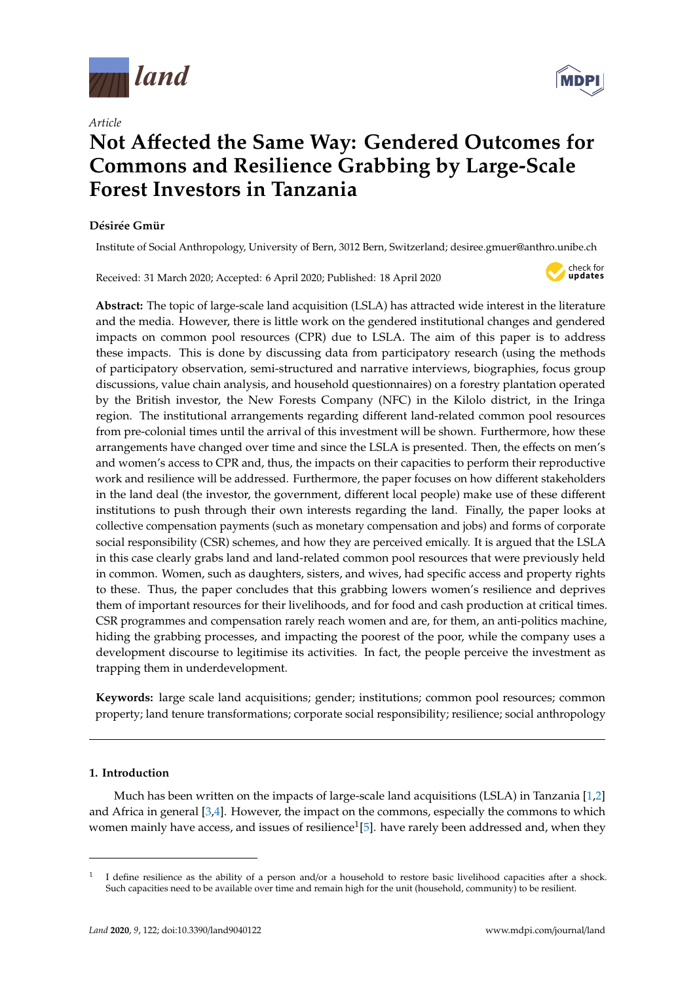

*Article*

# **Not A**ff**ected the Same Way: Gendered Outcomes for Commons and Resilience Grabbing by Large-Scale Forest Investors in Tanzania**

# **Désirée Gmür**

Institute of Social Anthropology, University of Bern, 3012 Bern, Switzerland; desiree.gmuer@anthro.unibe.ch

Received: 31 March 2020; Accepted: 6 April 2020; Published: 18 April 2020



**Abstract:** The topic of large-scale land acquisition (LSLA) has attracted wide interest in the literature and the media. However, there is little work on the gendered institutional changes and gendered impacts on common pool resources (CPR) due to LSLA. The aim of this paper is to address these impacts. This is done by discussing data from participatory research (using the methods of participatory observation, semi-structured and narrative interviews, biographies, focus group discussions, value chain analysis, and household questionnaires) on a forestry plantation operated by the British investor, the New Forests Company (NFC) in the Kilolo district, in the Iringa region. The institutional arrangements regarding different land-related common pool resources from pre-colonial times until the arrival of this investment will be shown. Furthermore, how these arrangements have changed over time and since the LSLA is presented. Then, the effects on men's and women's access to CPR and, thus, the impacts on their capacities to perform their reproductive work and resilience will be addressed. Furthermore, the paper focuses on how different stakeholders in the land deal (the investor, the government, different local people) make use of these different institutions to push through their own interests regarding the land. Finally, the paper looks at collective compensation payments (such as monetary compensation and jobs) and forms of corporate social responsibility (CSR) schemes, and how they are perceived emically. It is argued that the LSLA in this case clearly grabs land and land-related common pool resources that were previously held in common. Women, such as daughters, sisters, and wives, had specific access and property rights to these. Thus, the paper concludes that this grabbing lowers women's resilience and deprives them of important resources for their livelihoods, and for food and cash production at critical times. CSR programmes and compensation rarely reach women and are, for them, an anti-politics machine, hiding the grabbing processes, and impacting the poorest of the poor, while the company uses a development discourse to legitimise its activities. In fact, the people perceive the investment as trapping them in underdevelopment.

**Keywords:** large scale land acquisitions; gender; institutions; common pool resources; common property; land tenure transformations; corporate social responsibility; resilience; social anthropology

## **1. Introduction**

Much has been written on the impacts of large-scale land acquisitions (LSLA) in Tanzania [\[1](#page-14-0)[,2\]](#page-14-1) and Africa in general  $[3,4]$  $[3,4]$ . However, the impact on the commons, especially the commons to which women mainly have access, and issues of resilience $^1$ [\[5\]](#page-14-4). have rarely been addressed and, when they



<sup>1</sup> I define resilience as the ability of a person and/or a household to restore basic livelihood capacities after a shock. Such capacities need to be available over time and remain high for the unit (household, community) to be resilient.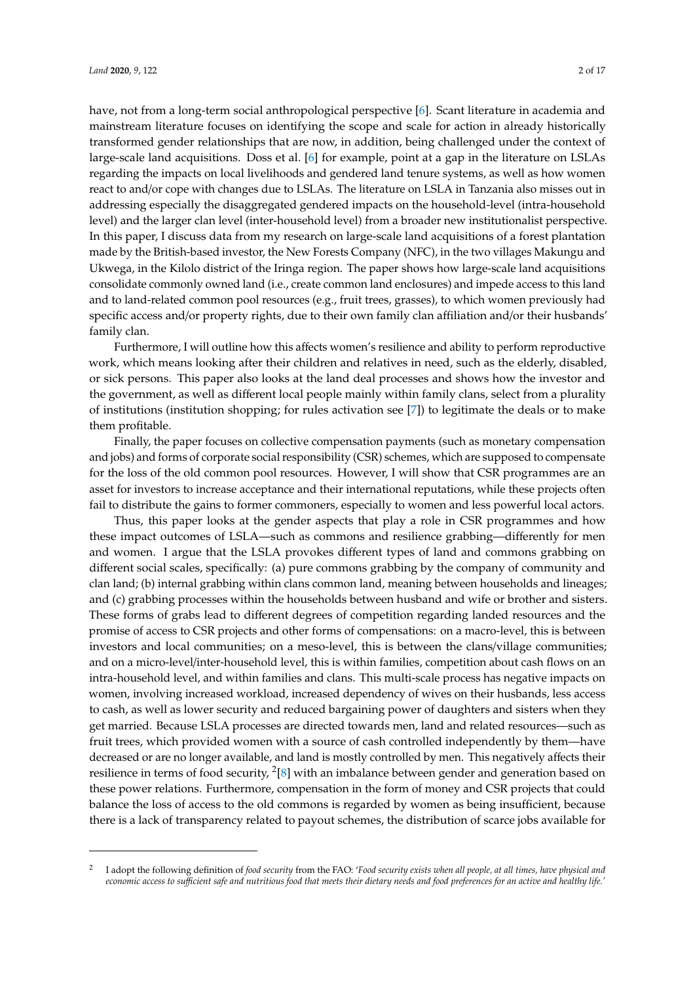have, not from a long-term social anthropological perspective [\[6\]](#page-14-5). Scant literature in academia and mainstream literature focuses on identifying the scope and scale for action in already historically transformed gender relationships that are now, in addition, being challenged under the context of large-scale land acquisitions. Doss et al. [\[6\]](#page-14-5) for example, point at a gap in the literature on LSLAs regarding the impacts on local livelihoods and gendered land tenure systems, as well as how women react to and/or cope with changes due to LSLAs. The literature on LSLA in Tanzania also misses out in addressing especially the disaggregated gendered impacts on the household-level (intra-household level) and the larger clan level (inter-household level) from a broader new institutionalist perspective. In this paper, I discuss data from my research on large-scale land acquisitions of a forest plantation made by the British-based investor, the New Forests Company (NFC), in the two villages Makungu and Ukwega, in the Kilolo district of the Iringa region. The paper shows how large-scale land acquisitions consolidate commonly owned land (i.e., create common land enclosures) and impede access to this land and to land-related common pool resources (e.g., fruit trees, grasses), to which women previously had specific access and/or property rights, due to their own family clan affiliation and/or their husbands' family clan.

Furthermore, I will outline how this affects women's resilience and ability to perform reproductive work, which means looking after their children and relatives in need, such as the elderly, disabled, or sick persons. This paper also looks at the land deal processes and shows how the investor and the government, as well as different local people mainly within family clans, select from a plurality of institutions (institution shopping; for rules activation see [\[7\]](#page-14-6)) to legitimate the deals or to make them profitable.

Finally, the paper focuses on collective compensation payments (such as monetary compensation and jobs) and forms of corporate social responsibility (CSR) schemes, which are supposed to compensate for the loss of the old common pool resources. However, I will show that CSR programmes are an asset for investors to increase acceptance and their international reputations, while these projects often fail to distribute the gains to former commoners, especially to women and less powerful local actors.

Thus, this paper looks at the gender aspects that play a role in CSR programmes and how these impact outcomes of LSLA—such as commons and resilience grabbing—differently for men and women. I argue that the LSLA provokes different types of land and commons grabbing on different social scales, specifically: (a) pure commons grabbing by the company of community and clan land; (b) internal grabbing within clans common land, meaning between households and lineages; and (c) grabbing processes within the households between husband and wife or brother and sisters. These forms of grabs lead to different degrees of competition regarding landed resources and the promise of access to CSR projects and other forms of compensations: on a macro-level, this is between investors and local communities; on a meso-level, this is between the clans/village communities; and on a micro-level/inter-household level, this is within families, competition about cash flows on an intra-household level, and within families and clans. This multi-scale process has negative impacts on women, involving increased workload, increased dependency of wives on their husbands, less access to cash, as well as lower security and reduced bargaining power of daughters and sisters when they get married. Because LSLA processes are directed towards men, land and related resources—such as fruit trees, which provided women with a source of cash controlled independently by them—have decreased or are no longer available, and land is mostly controlled by men. This negatively affects their resilience in terms of food security,  $2[8]$  $2[8]$  with an imbalance between gender and generation based on these power relations. Furthermore, compensation in the form of money and CSR projects that could balance the loss of access to the old commons is regarded by women as being insufficient, because there is a lack of transparency related to payout schemes, the distribution of scarce jobs available for

<sup>2</sup> I adopt the following definition of *food security* from the FAO: '*Food security exists when all people, at all times, have physical and economic access to su*ffi*cient safe and nutritious food that meets their dietary needs and food preferences for an active and healthy life.'*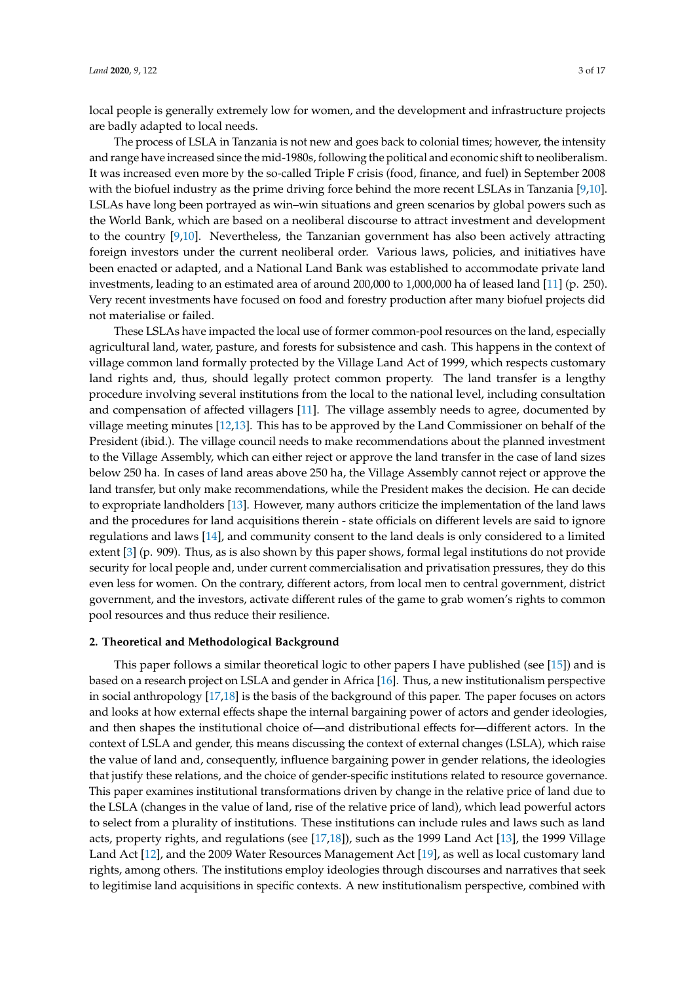local people is generally extremely low for women, and the development and infrastructure projects are badly adapted to local needs.

The process of LSLA in Tanzania is not new and goes back to colonial times; however, the intensity and range have increased since the mid-1980s, following the political and economic shift to neoliberalism. It was increased even more by the so-called Triple F crisis (food, finance, and fuel) in September 2008 with the biofuel industry as the prime driving force behind the more recent LSLAs in Tanzania [\[9,](#page-14-8)[10\]](#page-14-9). LSLAs have long been portrayed as win–win situations and green scenarios by global powers such as the World Bank, which are based on a neoliberal discourse to attract investment and development to the country [\[9,](#page-14-8)[10\]](#page-14-9). Nevertheless, the Tanzanian government has also been actively attracting foreign investors under the current neoliberal order. Various laws, policies, and initiatives have been enacted or adapted, and a National Land Bank was established to accommodate private land investments, leading to an estimated area of around 200,000 to 1,000,000 ha of leased land [\[11\]](#page-14-10) (p. 250). Very recent investments have focused on food and forestry production after many biofuel projects did not materialise or failed.

These LSLAs have impacted the local use of former common-pool resources on the land, especially agricultural land, water, pasture, and forests for subsistence and cash. This happens in the context of village common land formally protected by the Village Land Act of 1999, which respects customary land rights and, thus, should legally protect common property. The land transfer is a lengthy procedure involving several institutions from the local to the national level, including consultation and compensation of affected villagers [\[11\]](#page-14-10). The village assembly needs to agree, documented by village meeting minutes [\[12,](#page-14-11)[13\]](#page-14-12). This has to be approved by the Land Commissioner on behalf of the President (ibid.). The village council needs to make recommendations about the planned investment to the Village Assembly, which can either reject or approve the land transfer in the case of land sizes below 250 ha. In cases of land areas above 250 ha, the Village Assembly cannot reject or approve the land transfer, but only make recommendations, while the President makes the decision. He can decide to expropriate landholders [\[13\]](#page-14-12). However, many authors criticize the implementation of the land laws and the procedures for land acquisitions therein - state officials on different levels are said to ignore regulations and laws [\[14\]](#page-14-13), and community consent to the land deals is only considered to a limited extent [\[3\]](#page-14-2) (p. 909). Thus, as is also shown by this paper shows, formal legal institutions do not provide security for local people and, under current commercialisation and privatisation pressures, they do this even less for women. On the contrary, different actors, from local men to central government, district government, and the investors, activate different rules of the game to grab women's rights to common pool resources and thus reduce their resilience.

#### **2. Theoretical and Methodological Background**

This paper follows a similar theoretical logic to other papers I have published (see [\[15\]](#page-14-14)) and is based on a research project on LSLA and gender in Africa [\[16\]](#page-15-0). Thus, a new institutionalism perspective in social anthropology [\[17,](#page-15-1)[18\]](#page-15-2) is the basis of the background of this paper. The paper focuses on actors and looks at how external effects shape the internal bargaining power of actors and gender ideologies, and then shapes the institutional choice of—and distributional effects for—different actors. In the context of LSLA and gender, this means discussing the context of external changes (LSLA), which raise the value of land and, consequently, influence bargaining power in gender relations, the ideologies that justify these relations, and the choice of gender-specific institutions related to resource governance. This paper examines institutional transformations driven by change in the relative price of land due to the LSLA (changes in the value of land, rise of the relative price of land), which lead powerful actors to select from a plurality of institutions. These institutions can include rules and laws such as land acts, property rights, and regulations (see [\[17](#page-15-1)[,18\]](#page-15-2)), such as the 1999 Land Act [\[13\]](#page-14-12), the 1999 Village Land Act [\[12\]](#page-14-11), and the 2009 Water Resources Management Act [\[19\]](#page-15-3), as well as local customary land rights, among others. The institutions employ ideologies through discourses and narratives that seek to legitimise land acquisitions in specific contexts. A new institutionalism perspective, combined with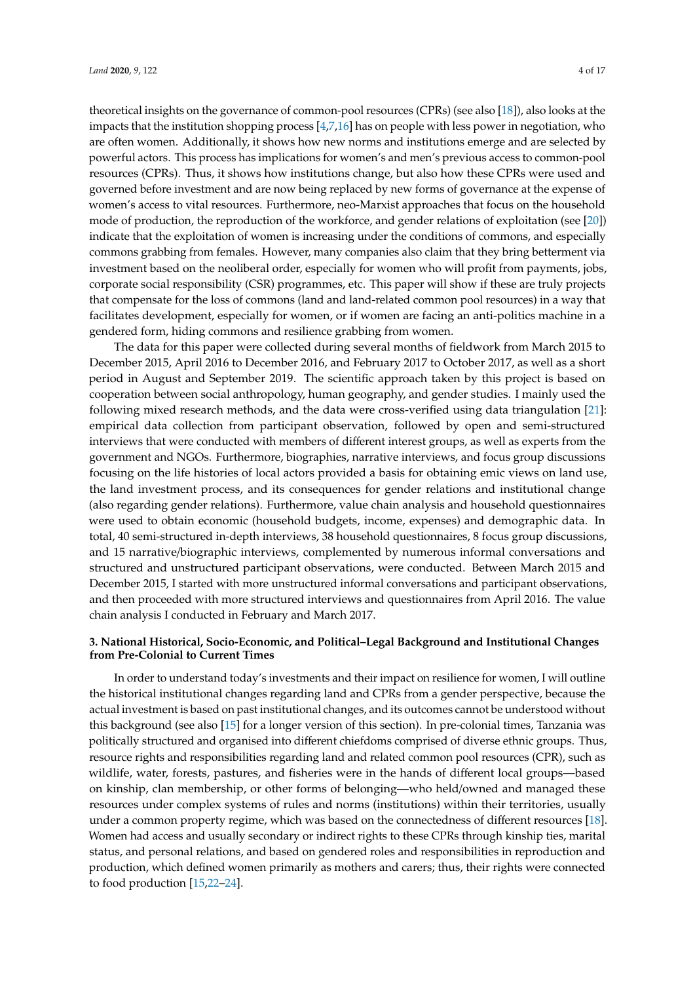theoretical insights on the governance of common-pool resources (CPRs) (see also [\[18\]](#page-15-2)), also looks at the impacts that the institution shopping process [\[4](#page-14-3)[,7](#page-14-6)[,16\]](#page-15-0) has on people with less power in negotiation, who are often women. Additionally, it shows how new norms and institutions emerge and are selected by powerful actors. This process has implications for women's and men's previous access to common-pool resources (CPRs). Thus, it shows how institutions change, but also how these CPRs were used and governed before investment and are now being replaced by new forms of governance at the expense of women's access to vital resources. Furthermore, neo-Marxist approaches that focus on the household mode of production, the reproduction of the workforce, and gender relations of exploitation (see [\[20\]](#page-15-4)) indicate that the exploitation of women is increasing under the conditions of commons, and especially commons grabbing from females. However, many companies also claim that they bring betterment via investment based on the neoliberal order, especially for women who will profit from payments, jobs, corporate social responsibility (CSR) programmes, etc. This paper will show if these are truly projects that compensate for the loss of commons (land and land-related common pool resources) in a way that facilitates development, especially for women, or if women are facing an anti-politics machine in a gendered form, hiding commons and resilience grabbing from women.

The data for this paper were collected during several months of fieldwork from March 2015 to December 2015, April 2016 to December 2016, and February 2017 to October 2017, as well as a short period in August and September 2019. The scientific approach taken by this project is based on cooperation between social anthropology, human geography, and gender studies. I mainly used the following mixed research methods, and the data were cross-verified using data triangulation [\[21\]](#page-15-5): empirical data collection from participant observation, followed by open and semi-structured interviews that were conducted with members of different interest groups, as well as experts from the government and NGOs. Furthermore, biographies, narrative interviews, and focus group discussions focusing on the life histories of local actors provided a basis for obtaining emic views on land use, the land investment process, and its consequences for gender relations and institutional change (also regarding gender relations). Furthermore, value chain analysis and household questionnaires were used to obtain economic (household budgets, income, expenses) and demographic data. In total, 40 semi-structured in-depth interviews, 38 household questionnaires, 8 focus group discussions, and 15 narrative/biographic interviews, complemented by numerous informal conversations and structured and unstructured participant observations, were conducted. Between March 2015 and December 2015, I started with more unstructured informal conversations and participant observations, and then proceeded with more structured interviews and questionnaires from April 2016. The value chain analysis I conducted in February and March 2017.

## **3. National Historical, Socio-Economic, and Political–Legal Background and Institutional Changes from Pre-Colonial to Current Times**

In order to understand today's investments and their impact on resilience for women, I will outline the historical institutional changes regarding land and CPRs from a gender perspective, because the actual investment is based on past institutional changes, and its outcomes cannot be understood without this background (see also [\[15\]](#page-14-14) for a longer version of this section). In pre-colonial times, Tanzania was politically structured and organised into different chiefdoms comprised of diverse ethnic groups. Thus, resource rights and responsibilities regarding land and related common pool resources (CPR), such as wildlife, water, forests, pastures, and fisheries were in the hands of different local groups—based on kinship, clan membership, or other forms of belonging—who held/owned and managed these resources under complex systems of rules and norms (institutions) within their territories, usually under a common property regime, which was based on the connectedness of different resources [\[18\]](#page-15-2). Women had access and usually secondary or indirect rights to these CPRs through kinship ties, marital status, and personal relations, and based on gendered roles and responsibilities in reproduction and production, which defined women primarily as mothers and carers; thus, their rights were connected to food production [\[15](#page-14-14)[,22–](#page-15-6)[24\]](#page-15-7).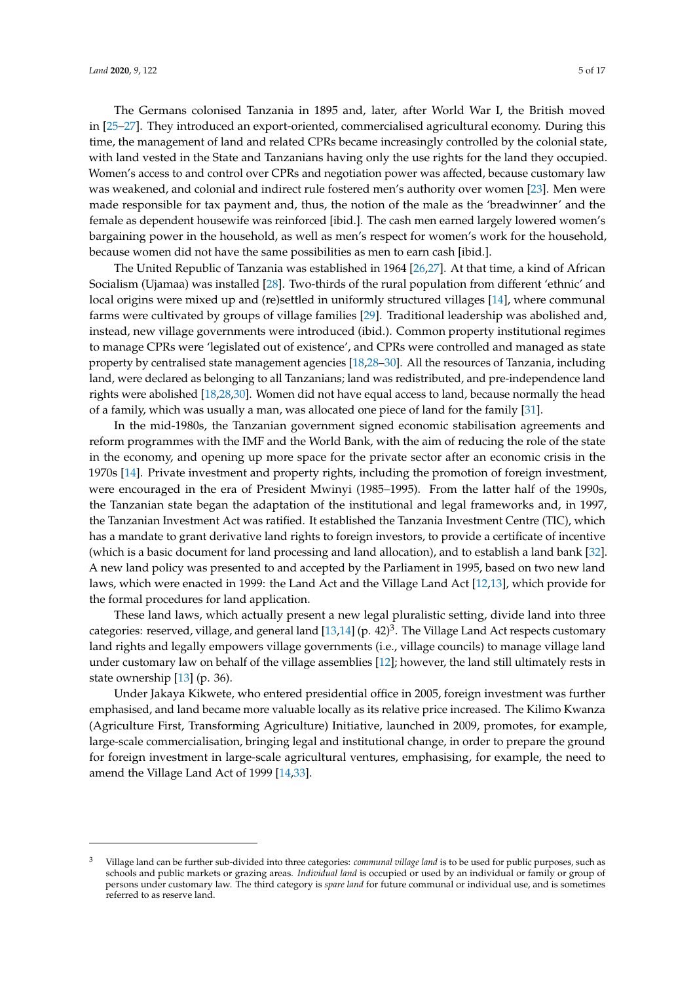The Germans colonised Tanzania in 1895 and, later, after World War I, the British moved in [\[25](#page-15-8)[–27\]](#page-15-9). They introduced an export-oriented, commercialised agricultural economy. During this time, the management of land and related CPRs became increasingly controlled by the colonial state, with land vested in the State and Tanzanians having only the use rights for the land they occupied. Women's access to and control over CPRs and negotiation power was affected, because customary law was weakened, and colonial and indirect rule fostered men's authority over women [\[23\]](#page-15-10). Men were made responsible for tax payment and, thus, the notion of the male as the 'breadwinner' and the female as dependent housewife was reinforced [ibid.]. The cash men earned largely lowered women's bargaining power in the household, as well as men's respect for women's work for the household, because women did not have the same possibilities as men to earn cash [ibid.].

The United Republic of Tanzania was established in 1964 [\[26,](#page-15-11)[27\]](#page-15-9). At that time, a kind of African Socialism (Ujamaa) was installed [\[28\]](#page-15-12). Two-thirds of the rural population from different 'ethnic' and local origins were mixed up and (re)settled in uniformly structured villages [\[14\]](#page-14-13), where communal farms were cultivated by groups of village families [\[29\]](#page-15-13). Traditional leadership was abolished and, instead, new village governments were introduced (ibid.). Common property institutional regimes to manage CPRs were 'legislated out of existence', and CPRs were controlled and managed as state property by centralised state management agencies [\[18,](#page-15-2)[28–](#page-15-12)[30\]](#page-15-14). All the resources of Tanzania, including land, were declared as belonging to all Tanzanians; land was redistributed, and pre-independence land rights were abolished [\[18](#page-15-2)[,28](#page-15-12)[,30\]](#page-15-14). Women did not have equal access to land, because normally the head of a family, which was usually a man, was allocated one piece of land for the family [\[31\]](#page-15-15).

In the mid-1980s, the Tanzanian government signed economic stabilisation agreements and reform programmes with the IMF and the World Bank, with the aim of reducing the role of the state in the economy, and opening up more space for the private sector after an economic crisis in the 1970s [\[14\]](#page-14-13). Private investment and property rights, including the promotion of foreign investment, were encouraged in the era of President Mwinyi (1985–1995). From the latter half of the 1990s, the Tanzanian state began the adaptation of the institutional and legal frameworks and, in 1997, the Tanzanian Investment Act was ratified. It established the Tanzania Investment Centre (TIC), which has a mandate to grant derivative land rights to foreign investors, to provide a certificate of incentive (which is a basic document for land processing and land allocation), and to establish a land bank [\[32\]](#page-15-16). A new land policy was presented to and accepted by the Parliament in 1995, based on two new land laws, which were enacted in 1999: the Land Act and the Village Land Act [\[12](#page-14-11)[,13\]](#page-14-12), which provide for the formal procedures for land application.

These land laws, which actually present a new legal pluralistic setting, divide land into three categories: reserved, village, and general land  $[13,14]$  $[13,14]$  (p.  $42)^3$ . The Village Land Act respects customary land rights and legally empowers village governments (i.e., village councils) to manage village land under customary law on behalf of the village assemblies [\[12\]](#page-14-11); however, the land still ultimately rests in state ownership [\[13\]](#page-14-12) (p. 36).

Under Jakaya Kikwete, who entered presidential office in 2005, foreign investment was further emphasised, and land became more valuable locally as its relative price increased. The Kilimo Kwanza (Agriculture First, Transforming Agriculture) Initiative, launched in 2009, promotes, for example, large-scale commercialisation, bringing legal and institutional change, in order to prepare the ground for foreign investment in large-scale agricultural ventures, emphasising, for example, the need to amend the Village Land Act of 1999 [\[14,](#page-14-13)[33\]](#page-15-17).

<sup>3</sup> Village land can be further sub-divided into three categories: *communal village land* is to be used for public purposes, such as schools and public markets or grazing areas. *Individual land* is occupied or used by an individual or family or group of persons under customary law. The third category is *spare land* for future communal or individual use, and is sometimes referred to as reserve land.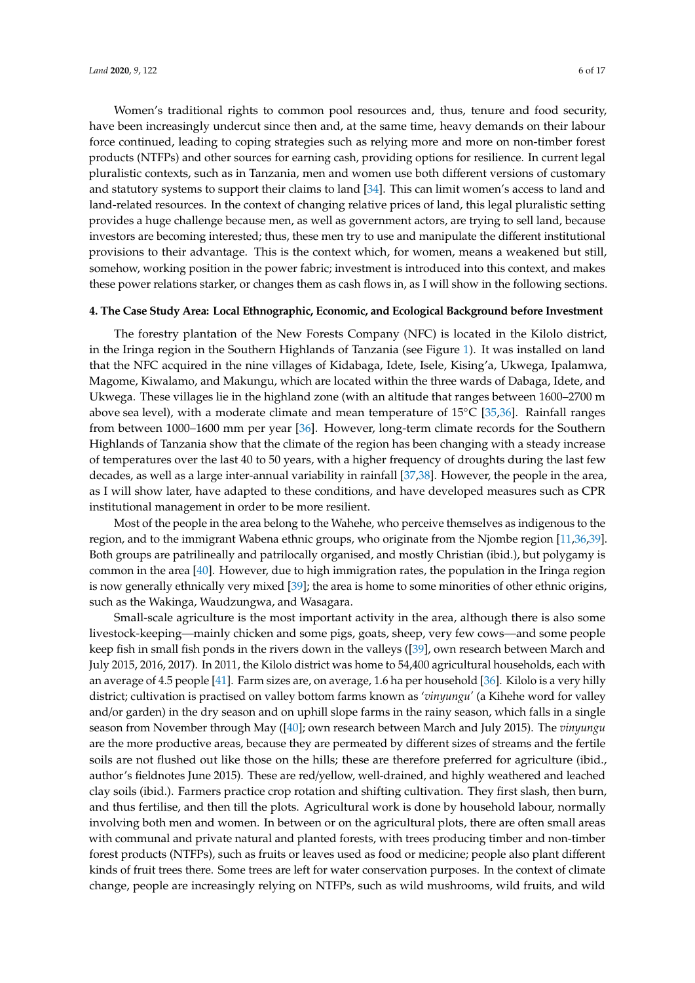Women's traditional rights to common pool resources and, thus, tenure and food security, have been increasingly undercut since then and, at the same time, heavy demands on their labour force continued, leading to coping strategies such as relying more and more on non-timber forest products (NTFPs) and other sources for earning cash, providing options for resilience. In current legal pluralistic contexts, such as in Tanzania, men and women use both different versions of customary and statutory systems to support their claims to land [\[34\]](#page-15-18). This can limit women's access to land and land-related resources. In the context of changing relative prices of land, this legal pluralistic setting provides a huge challenge because men, as well as government actors, are trying to sell land, because investors are becoming interested; thus, these men try to use and manipulate the different institutional provisions to their advantage. This is the context which, for women, means a weakened but still, somehow, working position in the power fabric; investment is introduced into this context, and makes these power relations starker, or changes them as cash flows in, as I will show in the following sections.

#### **4. The Case Study Area: Local Ethnographic, Economic, and Ecological Background before Investment**

The forestry plantation of the New Forests Company (NFC) is located in the Kilolo district, in the Iringa region in the Southern Highlands of Tanzania (see Figure [1\)](#page-6-0). It was installed on land that the NFC acquired in the nine villages of Kidabaga, Idete, Isele, Kising'a, Ukwega, Ipalamwa, Magome, Kiwalamo, and Makungu, which are located within the three wards of Dabaga, Idete, and Ukwega. These villages lie in the highland zone (with an altitude that ranges between 1600–2700 m above sea level), with a moderate climate and mean temperature of 15◦C [\[35,](#page-15-19)[36\]](#page-15-20). Rainfall ranges from between 1000–1600 mm per year [\[36\]](#page-15-20). However, long-term climate records for the Southern Highlands of Tanzania show that the climate of the region has been changing with a steady increase of temperatures over the last 40 to 50 years, with a higher frequency of droughts during the last few decades, as well as a large inter-annual variability in rainfall [\[37,](#page-15-21)[38\]](#page-15-22). However, the people in the area, as I will show later, have adapted to these conditions, and have developed measures such as CPR institutional management in order to be more resilient.

Most of the people in the area belong to the Wahehe, who perceive themselves as indigenous to the region, and to the immigrant Wabena ethnic groups, who originate from the Njombe region [\[11](#page-14-10)[,36](#page-15-20)[,39\]](#page-15-23). Both groups are patrilineally and patrilocally organised, and mostly Christian (ibid.), but polygamy is common in the area [\[40\]](#page-16-0). However, due to high immigration rates, the population in the Iringa region is now generally ethnically very mixed [\[39\]](#page-15-23); the area is home to some minorities of other ethnic origins, such as the Wakinga, Waudzungwa, and Wasagara.

Small-scale agriculture is the most important activity in the area, although there is also some livestock-keeping—mainly chicken and some pigs, goats, sheep, very few cows—and some people keep fish in small fish ponds in the rivers down in the valleys ([\[39\]](#page-15-23), own research between March and July 2015, 2016, 2017). In 2011, the Kilolo district was home to 54,400 agricultural households, each with an average of 4.5 people [\[41\]](#page-16-1). Farm sizes are, on average, 1.6 ha per household [\[36\]](#page-15-20). Kilolo is a very hilly district; cultivation is practised on valley bottom farms known as '*vinyungu'* (a Kihehe word for valley and/or garden) in the dry season and on uphill slope farms in the rainy season, which falls in a single season from November through May ([\[40\]](#page-16-0); own research between March and July 2015). The *vinyungu* are the more productive areas, because they are permeated by different sizes of streams and the fertile soils are not flushed out like those on the hills; these are therefore preferred for agriculture (ibid., author's fieldnotes June 2015). These are red/yellow, well-drained, and highly weathered and leached clay soils (ibid.). Farmers practice crop rotation and shifting cultivation. They first slash, then burn, and thus fertilise, and then till the plots. Agricultural work is done by household labour, normally involving both men and women. In between or on the agricultural plots, there are often small areas with communal and private natural and planted forests, with trees producing timber and non-timber forest products (NTFPs), such as fruits or leaves used as food or medicine; people also plant different kinds of fruit trees there. Some trees are left for water conservation purposes. In the context of climate change, people are increasingly relying on NTFPs, such as wild mushrooms, wild fruits, and wild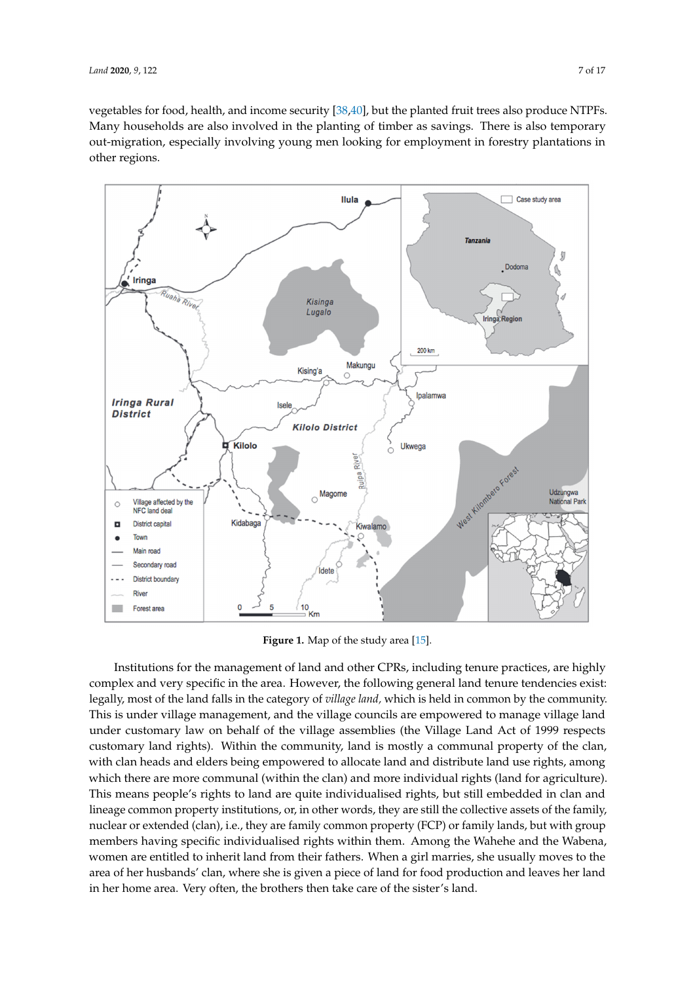vegetables for food, health, and income security [\[38](#page-15-22)[,40\]](#page-16-0), but the planted fruit trees also produce NTPFs. Many households are also involved in the planting of timber as savings. There is also temporary out-migration, especially involving young men looking for employment in forestry plantations in other regions.  $\overline{\phantom{a}}$ 

<span id="page-6-0"></span>

**Figure 1.** Map of the study area [\[15\]](#page-14-14).

Institutions for the management of land and other CPRs, including tenure practices, are highly complex and very specific in the area. However, the following general land tenure tendencies exist:<br>https://www.complex.com/web/2012/09/2012/09/2012 legally, most of the land falls in the category of *village land,* which is held in common by the community.<br>The community of the land falls in the category of *village land*, which is held in common by the community. This is under village management, and the village councils are empowered to manage village land is the village land under customary law on behalf of the village assemblies (the Village Land Act of 1999 respects in the population in the population in the population in the population in the population in the population in the population i customary land rights). Within the community, land is mostly a communal property of the clan,  $\ddot{a}$ with clan heads and elders being empowered to allocate land and distribute land use rights, among<br>with clan heads and elders being empowered to allocate land and distribute land use rights, among which there are more communal (within the clan) and more individual rights (land for agriculture).<br>The community is also some in the clan in the clan in the clan of the community of the community of the commun This means people's rights to land are quite individualised rights, but still embedded in clan and  $\ldots$ lineage common property institutions, or, in other words, they are still the collective assets of the family,  $\frac{1}{2}$ nuclear or extended (clan), i.e., they are family common property (FCP) or family lands, but with group<br>extending the state of the state of the state of the state of the state of the state of the state of the state members having specific individualised rights within them. Among the Wahehe and the Wabena, women are entitled to inherit land from their fathers. When a girl marries, she usually moves to the viny the *i* area of her husbands' clan, where she is given a piece of land for food production and leaves her land in the rainy season, and leaves her land in her home area. Very often, the brothers then take care of the sister's land.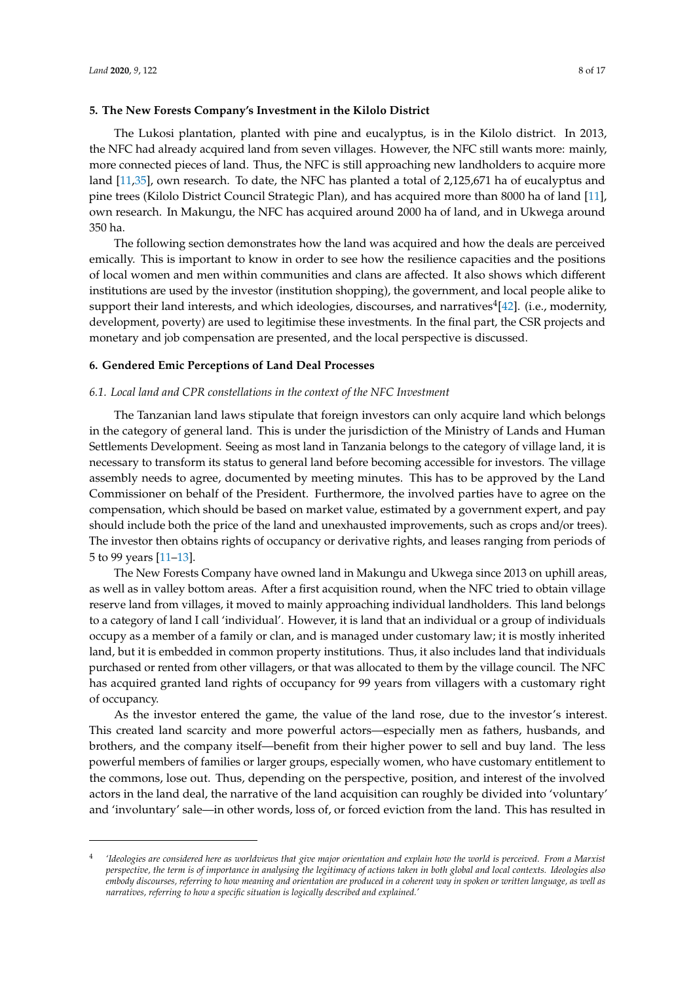#### **5. The New Forests Company's Investment in the Kilolo District**

The Lukosi plantation, planted with pine and eucalyptus, is in the Kilolo district. In 2013, the NFC had already acquired land from seven villages. However, the NFC still wants more: mainly, more connected pieces of land. Thus, the NFC is still approaching new landholders to acquire more land [\[11](#page-14-10)[,35\]](#page-15-19), own research. To date, the NFC has planted a total of 2,125,671 ha of eucalyptus and pine trees (Kilolo District Council Strategic Plan), and has acquired more than 8000 ha of land [\[11\]](#page-14-10), own research. In Makungu, the NFC has acquired around 2000 ha of land, and in Ukwega around 350 ha.

The following section demonstrates how the land was acquired and how the deals are perceived emically. This is important to know in order to see how the resilience capacities and the positions of local women and men within communities and clans are affected. It also shows which different institutions are used by the investor (institution shopping), the government, and local people alike to support their land interests, and which ideologies, discourses, and narratives $^4$ [\[42\]](#page-16-2). (i.e., modernity, development, poverty) are used to legitimise these investments. In the final part, the CSR projects and monetary and job compensation are presented, and the local perspective is discussed.

#### **6. Gendered Emic Perceptions of Land Deal Processes**

#### *6.1. Local land and CPR constellations in the context of the NFC Investment*

The Tanzanian land laws stipulate that foreign investors can only acquire land which belongs in the category of general land. This is under the jurisdiction of the Ministry of Lands and Human Settlements Development. Seeing as most land in Tanzania belongs to the category of village land, it is necessary to transform its status to general land before becoming accessible for investors. The village assembly needs to agree, documented by meeting minutes. This has to be approved by the Land Commissioner on behalf of the President. Furthermore, the involved parties have to agree on the compensation, which should be based on market value, estimated by a government expert, and pay should include both the price of the land and unexhausted improvements, such as crops and/or trees). The investor then obtains rights of occupancy or derivative rights, and leases ranging from periods of 5 to 99 years [\[11–](#page-14-10)[13\]](#page-14-12).

The New Forests Company have owned land in Makungu and Ukwega since 2013 on uphill areas, as well as in valley bottom areas. After a first acquisition round, when the NFC tried to obtain village reserve land from villages, it moved to mainly approaching individual landholders. This land belongs to a category of land I call 'individual'. However, it is land that an individual or a group of individuals occupy as a member of a family or clan, and is managed under customary law; it is mostly inherited land, but it is embedded in common property institutions. Thus, it also includes land that individuals purchased or rented from other villagers, or that was allocated to them by the village council. The NFC has acquired granted land rights of occupancy for 99 years from villagers with a customary right of occupancy.

As the investor entered the game, the value of the land rose, due to the investor's interest. This created land scarcity and more powerful actors—especially men as fathers, husbands, and brothers, and the company itself—benefit from their higher power to sell and buy land. The less powerful members of families or larger groups, especially women, who have customary entitlement to the commons, lose out. Thus, depending on the perspective, position, and interest of the involved actors in the land deal, the narrative of the land acquisition can roughly be divided into 'voluntary' and 'involuntary' sale—in other words, loss of, or forced eviction from the land. This has resulted in

<sup>4</sup> *'Ideologies are considered here as worldviews that give major orientation and explain how the world is perceived. From a Marxist perspective, the term is of importance in analysing the legitimacy of actions taken in both global and local contexts. Ideologies also embody discourses, referring to how meaning and orientation are produced in a coherent way in spoken or written language, as well as narratives, referring to how a specific situation is logically described and explained.'*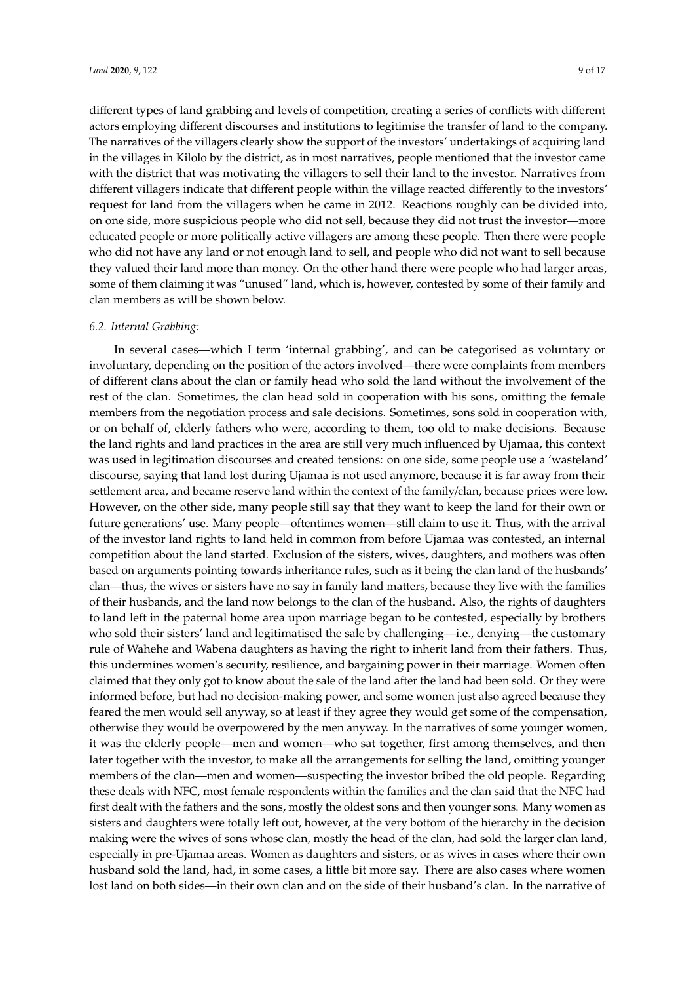different types of land grabbing and levels of competition, creating a series of conflicts with different actors employing different discourses and institutions to legitimise the transfer of land to the company. The narratives of the villagers clearly show the support of the investors' undertakings of acquiring land in the villages in Kilolo by the district, as in most narratives, people mentioned that the investor came with the district that was motivating the villagers to sell their land to the investor. Narratives from different villagers indicate that different people within the village reacted differently to the investors' request for land from the villagers when he came in 2012. Reactions roughly can be divided into, on one side, more suspicious people who did not sell, because they did not trust the investor—more educated people or more politically active villagers are among these people. Then there were people who did not have any land or not enough land to sell, and people who did not want to sell because they valued their land more than money. On the other hand there were people who had larger areas, some of them claiming it was "unused" land, which is, however, contested by some of their family and clan members as will be shown below.

#### *6.2. Internal Grabbing:*

In several cases—which I term 'internal grabbing', and can be categorised as voluntary or involuntary, depending on the position of the actors involved—there were complaints from members of different clans about the clan or family head who sold the land without the involvement of the rest of the clan. Sometimes, the clan head sold in cooperation with his sons, omitting the female members from the negotiation process and sale decisions. Sometimes, sons sold in cooperation with, or on behalf of, elderly fathers who were, according to them, too old to make decisions. Because the land rights and land practices in the area are still very much influenced by Ujamaa, this context was used in legitimation discourses and created tensions: on one side, some people use a 'wasteland' discourse, saying that land lost during Ujamaa is not used anymore, because it is far away from their settlement area, and became reserve land within the context of the family/clan, because prices were low. However, on the other side, many people still say that they want to keep the land for their own or future generations' use. Many people—oftentimes women—still claim to use it. Thus, with the arrival of the investor land rights to land held in common from before Ujamaa was contested, an internal competition about the land started. Exclusion of the sisters, wives, daughters, and mothers was often based on arguments pointing towards inheritance rules, such as it being the clan land of the husbands' clan—thus, the wives or sisters have no say in family land matters, because they live with the families of their husbands, and the land now belongs to the clan of the husband. Also, the rights of daughters to land left in the paternal home area upon marriage began to be contested, especially by brothers who sold their sisters' land and legitimatised the sale by challenging—i.e., denying—the customary rule of Wahehe and Wabena daughters as having the right to inherit land from their fathers. Thus, this undermines women's security, resilience, and bargaining power in their marriage. Women often claimed that they only got to know about the sale of the land after the land had been sold. Or they were informed before, but had no decision-making power, and some women just also agreed because they feared the men would sell anyway, so at least if they agree they would get some of the compensation, otherwise they would be overpowered by the men anyway. In the narratives of some younger women, it was the elderly people—men and women—who sat together, first among themselves, and then later together with the investor, to make all the arrangements for selling the land, omitting younger members of the clan—men and women—suspecting the investor bribed the old people. Regarding these deals with NFC, most female respondents within the families and the clan said that the NFC had first dealt with the fathers and the sons, mostly the oldest sons and then younger sons. Many women as sisters and daughters were totally left out, however, at the very bottom of the hierarchy in the decision making were the wives of sons whose clan, mostly the head of the clan, had sold the larger clan land, especially in pre-Ujamaa areas. Women as daughters and sisters, or as wives in cases where their own husband sold the land, had, in some cases, a little bit more say. There are also cases where women lost land on both sides—in their own clan and on the side of their husband's clan. In the narrative of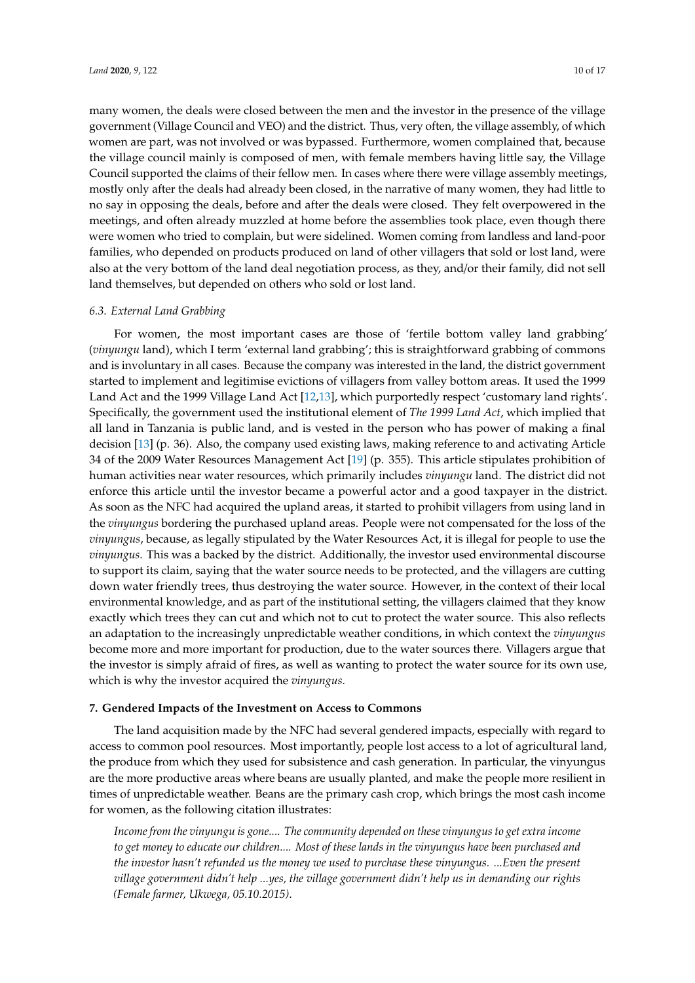many women, the deals were closed between the men and the investor in the presence of the village government (Village Council and VEO) and the district. Thus, very often, the village assembly, of which women are part, was not involved or was bypassed. Furthermore, women complained that, because the village council mainly is composed of men, with female members having little say, the Village Council supported the claims of their fellow men. In cases where there were village assembly meetings, mostly only after the deals had already been closed, in the narrative of many women, they had little to no say in opposing the deals, before and after the deals were closed. They felt overpowered in the meetings, and often already muzzled at home before the assemblies took place, even though there were women who tried to complain, but were sidelined. Women coming from landless and land-poor families, who depended on products produced on land of other villagers that sold or lost land, were also at the very bottom of the land deal negotiation process, as they, and/or their family, did not sell land themselves, but depended on others who sold or lost land.

#### *6.3. External Land Grabbing*

For women, the most important cases are those of 'fertile bottom valley land grabbing' (*vinyungu* land), which I term 'external land grabbing'; this is straightforward grabbing of commons and is involuntary in all cases. Because the company was interested in the land, the district government started to implement and legitimise evictions of villagers from valley bottom areas. It used the 1999 Land Act and the 1999 Village Land Act [\[12](#page-14-11)[,13\]](#page-14-12), which purportedly respect 'customary land rights'. Specifically, the government used the institutional element of *The 1999 Land Act*, which implied that all land in Tanzania is public land, and is vested in the person who has power of making a final decision [\[13\]](#page-14-12) (p. 36). Also, the company used existing laws, making reference to and activating Article 34 of the 2009 Water Resources Management Act [\[19\]](#page-15-3) (p. 355). This article stipulates prohibition of human activities near water resources, which primarily includes *vinyungu* land. The district did not enforce this article until the investor became a powerful actor and a good taxpayer in the district. As soon as the NFC had acquired the upland areas, it started to prohibit villagers from using land in the *vinyungus* bordering the purchased upland areas. People were not compensated for the loss of the *vinyungus*, because, as legally stipulated by the Water Resources Act, it is illegal for people to use the *vinyungus*. This was a backed by the district. Additionally, the investor used environmental discourse to support its claim, saying that the water source needs to be protected, and the villagers are cutting down water friendly trees, thus destroying the water source. However, in the context of their local environmental knowledge, and as part of the institutional setting, the villagers claimed that they know exactly which trees they can cut and which not to cut to protect the water source. This also reflects an adaptation to the increasingly unpredictable weather conditions, in which context the *vinyungus* become more and more important for production, due to the water sources there. Villagers argue that the investor is simply afraid of fires, as well as wanting to protect the water source for its own use, which is why the investor acquired the *vinyungus*.

#### **7. Gendered Impacts of the Investment on Access to Commons**

The land acquisition made by the NFC had several gendered impacts, especially with regard to access to common pool resources. Most importantly, people lost access to a lot of agricultural land, the produce from which they used for subsistence and cash generation. In particular, the vinyungus are the more productive areas where beans are usually planted, and make the people more resilient in times of unpredictable weather. Beans are the primary cash crop, which brings the most cash income for women, as the following citation illustrates:

*Income from the vinyungu is gone.... The community depended on these vinyungus to get extra income to get money to educate our children.... Most of these lands in the vinyungus have been purchased and the investor hasn't refunded us the money we used to purchase these vinyungus. ...Even the present village government didn't help ...yes, the village government didn't help us in demanding our rights (Female farmer, Ukwega, 05.10.2015)*.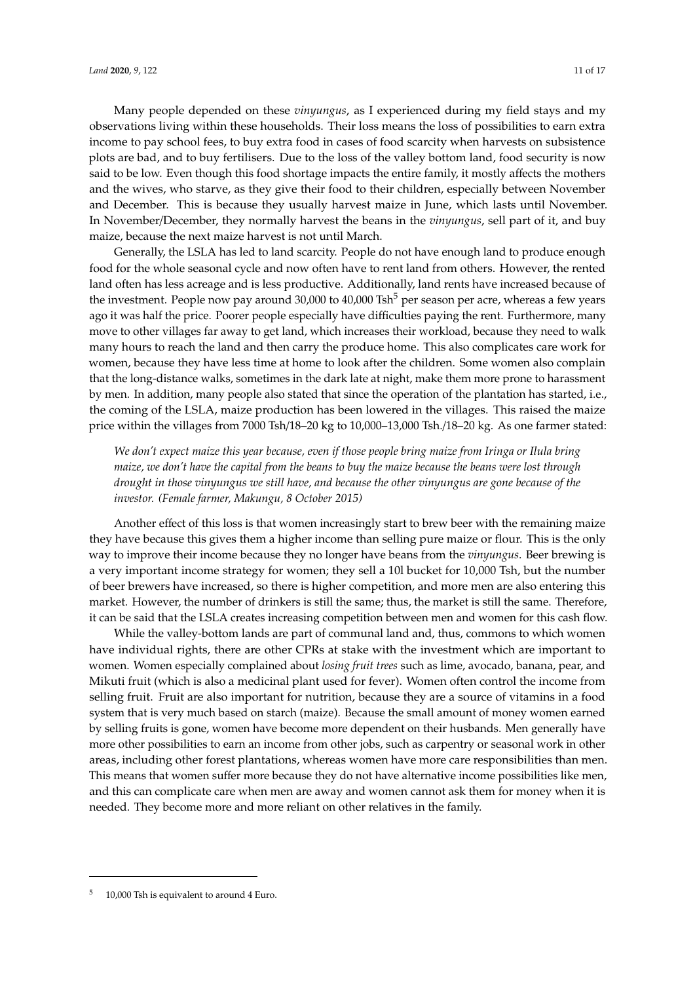Many people depended on these *vinyungus*, as I experienced during my field stays and my

observations living within these households. Their loss means the loss of possibilities to earn extra income to pay school fees, to buy extra food in cases of food scarcity when harvests on subsistence plots are bad, and to buy fertilisers. Due to the loss of the valley bottom land, food security is now said to be low. Even though this food shortage impacts the entire family, it mostly affects the mothers and the wives, who starve, as they give their food to their children, especially between November and December. This is because they usually harvest maize in June, which lasts until November. In November/December, they normally harvest the beans in the *vinyungus*, sell part of it, and buy maize, because the next maize harvest is not until March.

Generally, the LSLA has led to land scarcity. People do not have enough land to produce enough food for the whole seasonal cycle and now often have to rent land from others. However, the rented land often has less acreage and is less productive. Additionally, land rents have increased because of the investment. People now pay around 30,000 to 40,000  $\text{Tsh}^5$  per season per acre, whereas a few years ago it was half the price. Poorer people especially have difficulties paying the rent. Furthermore, many move to other villages far away to get land, which increases their workload, because they need to walk many hours to reach the land and then carry the produce home. This also complicates care work for women, because they have less time at home to look after the children. Some women also complain that the long-distance walks, sometimes in the dark late at night, make them more prone to harassment by men. In addition, many people also stated that since the operation of the plantation has started, i.e., the coming of the LSLA, maize production has been lowered in the villages. This raised the maize price within the villages from 7000 Tsh/18–20 kg to 10,000–13,000 Tsh./18–20 kg. As one farmer stated:

*We don't expect maize this year because, even if those people bring maize from Iringa or Ilula bring maize, we don't have the capital from the beans to buy the maize because the beans were lost through drought in those vinyungus we still have, and because the other vinyungus are gone because of the investor. (Female farmer, Makungu, 8 October 2015)*

Another effect of this loss is that women increasingly start to brew beer with the remaining maize they have because this gives them a higher income than selling pure maize or flour. This is the only way to improve their income because they no longer have beans from the *vinyungus*. Beer brewing is a very important income strategy for women; they sell a 10l bucket for 10,000 Tsh, but the number of beer brewers have increased, so there is higher competition, and more men are also entering this market. However, the number of drinkers is still the same; thus, the market is still the same. Therefore, it can be said that the LSLA creates increasing competition between men and women for this cash flow.

While the valley-bottom lands are part of communal land and, thus, commons to which women have individual rights, there are other CPRs at stake with the investment which are important to women. Women especially complained about *losing fruit trees* such as lime, avocado, banana, pear, and Mikuti fruit (which is also a medicinal plant used for fever). Women often control the income from selling fruit. Fruit are also important for nutrition, because they are a source of vitamins in a food system that is very much based on starch (maize). Because the small amount of money women earned by selling fruits is gone, women have become more dependent on their husbands. Men generally have more other possibilities to earn an income from other jobs, such as carpentry or seasonal work in other areas, including other forest plantations, whereas women have more care responsibilities than men. This means that women suffer more because they do not have alternative income possibilities like men, and this can complicate care when men are away and women cannot ask them for money when it is needed. They become more and more reliant on other relatives in the family.

<sup>&</sup>lt;sup>5</sup> 10,000 Tsh is equivalent to around 4 Euro.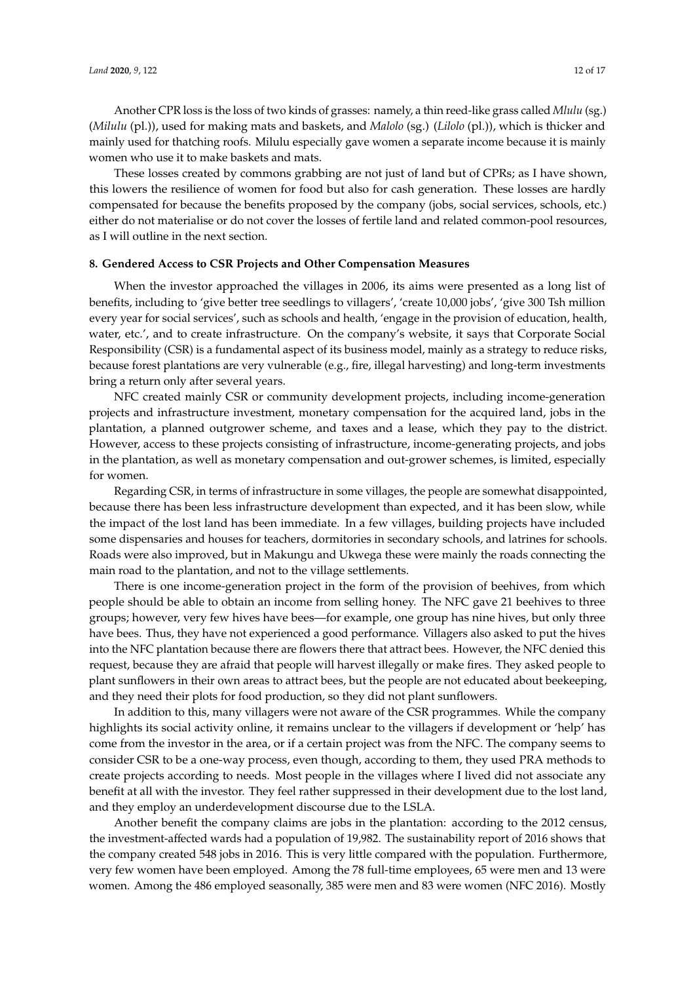Another CPR loss is the loss of two kinds of grasses: namely, a thin reed-like grass called *Mlulu* (sg.) (*Milulu* (pl.)), used for making mats and baskets, and *Malolo* (sg.) (*Lilolo* (pl.)), which is thicker and mainly used for thatching roofs. Milulu especially gave women a separate income because it is mainly women who use it to make baskets and mats.

These losses created by commons grabbing are not just of land but of CPRs; as I have shown, this lowers the resilience of women for food but also for cash generation. These losses are hardly compensated for because the benefits proposed by the company (jobs, social services, schools, etc.) either do not materialise or do not cover the losses of fertile land and related common-pool resources, as I will outline in the next section.

### **8. Gendered Access to CSR Projects and Other Compensation Measures**

When the investor approached the villages in 2006, its aims were presented as a long list of benefits, including to 'give better tree seedlings to villagers', 'create 10,000 jobs', 'give 300 Tsh million every year for social services', such as schools and health, 'engage in the provision of education, health, water, etc.', and to create infrastructure. On the company's website, it says that Corporate Social Responsibility (CSR) is a fundamental aspect of its business model, mainly as a strategy to reduce risks, because forest plantations are very vulnerable (e.g., fire, illegal harvesting) and long-term investments bring a return only after several years.

NFC created mainly CSR or community development projects, including income-generation projects and infrastructure investment, monetary compensation for the acquired land, jobs in the plantation, a planned outgrower scheme, and taxes and a lease, which they pay to the district. However, access to these projects consisting of infrastructure, income-generating projects, and jobs in the plantation, as well as monetary compensation and out-grower schemes, is limited, especially for women.

Regarding CSR, in terms of infrastructure in some villages, the people are somewhat disappointed, because there has been less infrastructure development than expected, and it has been slow, while the impact of the lost land has been immediate. In a few villages, building projects have included some dispensaries and houses for teachers, dormitories in secondary schools, and latrines for schools. Roads were also improved, but in Makungu and Ukwega these were mainly the roads connecting the main road to the plantation, and not to the village settlements.

There is one income-generation project in the form of the provision of beehives, from which people should be able to obtain an income from selling honey. The NFC gave 21 beehives to three groups; however, very few hives have bees—for example, one group has nine hives, but only three have bees. Thus, they have not experienced a good performance. Villagers also asked to put the hives into the NFC plantation because there are flowers there that attract bees. However, the NFC denied this request, because they are afraid that people will harvest illegally or make fires. They asked people to plant sunflowers in their own areas to attract bees, but the people are not educated about beekeeping, and they need their plots for food production, so they did not plant sunflowers.

In addition to this, many villagers were not aware of the CSR programmes. While the company highlights its social activity online, it remains unclear to the villagers if development or 'help' has come from the investor in the area, or if a certain project was from the NFC. The company seems to consider CSR to be a one-way process, even though, according to them, they used PRA methods to create projects according to needs. Most people in the villages where I lived did not associate any benefit at all with the investor. They feel rather suppressed in their development due to the lost land, and they employ an underdevelopment discourse due to the LSLA.

Another benefit the company claims are jobs in the plantation: according to the 2012 census, the investment-affected wards had a population of 19,982. The sustainability report of 2016 shows that the company created 548 jobs in 2016. This is very little compared with the population. Furthermore, very few women have been employed. Among the 78 full-time employees, 65 were men and 13 were women. Among the 486 employed seasonally, 385 were men and 83 were women (NFC 2016). Mostly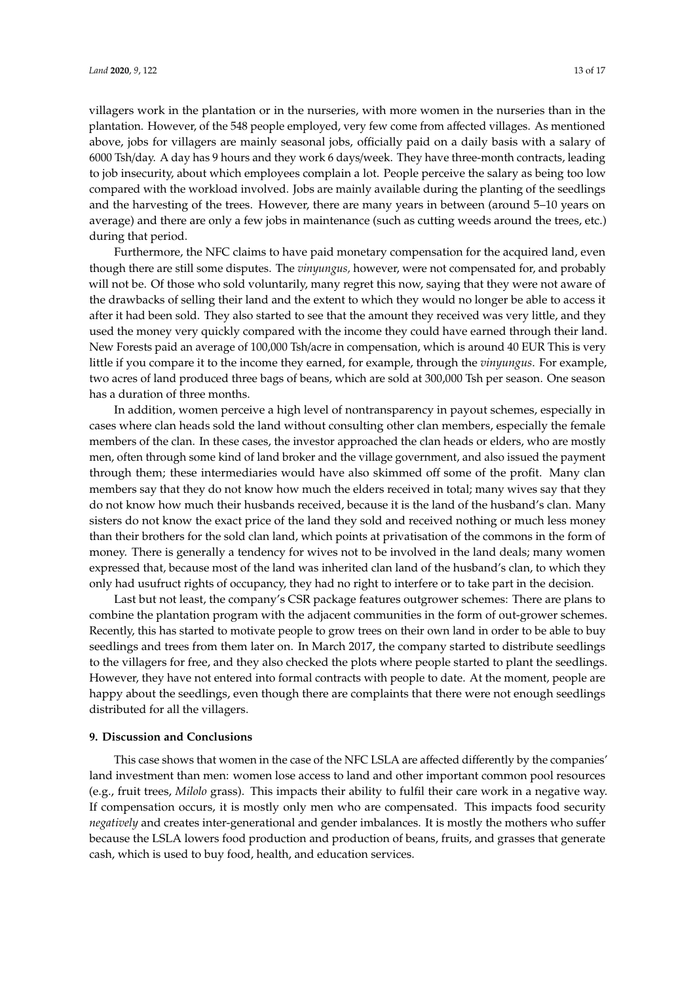villagers work in the plantation or in the nurseries, with more women in the nurseries than in the plantation. However, of the 548 people employed, very few come from affected villages. As mentioned above, jobs for villagers are mainly seasonal jobs, officially paid on a daily basis with a salary of 6000 Tsh/day. A day has 9 hours and they work 6 days/week. They have three-month contracts, leading to job insecurity, about which employees complain a lot. People perceive the salary as being too low compared with the workload involved. Jobs are mainly available during the planting of the seedlings and the harvesting of the trees. However, there are many years in between (around 5–10 years on average) and there are only a few jobs in maintenance (such as cutting weeds around the trees, etc.) during that period.

Furthermore, the NFC claims to have paid monetary compensation for the acquired land, even though there are still some disputes. The *vinyungus,* however, were not compensated for, and probably will not be. Of those who sold voluntarily, many regret this now, saying that they were not aware of the drawbacks of selling their land and the extent to which they would no longer be able to access it after it had been sold. They also started to see that the amount they received was very little, and they used the money very quickly compared with the income they could have earned through their land. New Forests paid an average of 100,000 Tsh/acre in compensation, which is around 40 EUR This is very little if you compare it to the income they earned, for example, through the *vinyungus*. For example, two acres of land produced three bags of beans, which are sold at 300,000 Tsh per season. One season has a duration of three months.

In addition, women perceive a high level of nontransparency in payout schemes, especially in cases where clan heads sold the land without consulting other clan members, especially the female members of the clan. In these cases, the investor approached the clan heads or elders, who are mostly men, often through some kind of land broker and the village government, and also issued the payment through them; these intermediaries would have also skimmed off some of the profit. Many clan members say that they do not know how much the elders received in total; many wives say that they do not know how much their husbands received, because it is the land of the husband's clan. Many sisters do not know the exact price of the land they sold and received nothing or much less money than their brothers for the sold clan land, which points at privatisation of the commons in the form of money. There is generally a tendency for wives not to be involved in the land deals; many women expressed that, because most of the land was inherited clan land of the husband's clan, to which they only had usufruct rights of occupancy, they had no right to interfere or to take part in the decision.

Last but not least, the company's CSR package features outgrower schemes: There are plans to combine the plantation program with the adjacent communities in the form of out-grower schemes. Recently, this has started to motivate people to grow trees on their own land in order to be able to buy seedlings and trees from them later on. In March 2017, the company started to distribute seedlings to the villagers for free, and they also checked the plots where people started to plant the seedlings. However, they have not entered into formal contracts with people to date. At the moment, people are happy about the seedlings, even though there are complaints that there were not enough seedlings distributed for all the villagers.

#### **9. Discussion and Conclusions**

This case shows that women in the case of the NFC LSLA are affected differently by the companies' land investment than men: women lose access to land and other important common pool resources (e.g., fruit trees, *Milolo* grass). This impacts their ability to fulfil their care work in a negative way. If compensation occurs, it is mostly only men who are compensated. This impacts food security *negatively* and creates inter-generational and gender imbalances. It is mostly the mothers who suffer because the LSLA lowers food production and production of beans, fruits, and grasses that generate cash, which is used to buy food, health, and education services.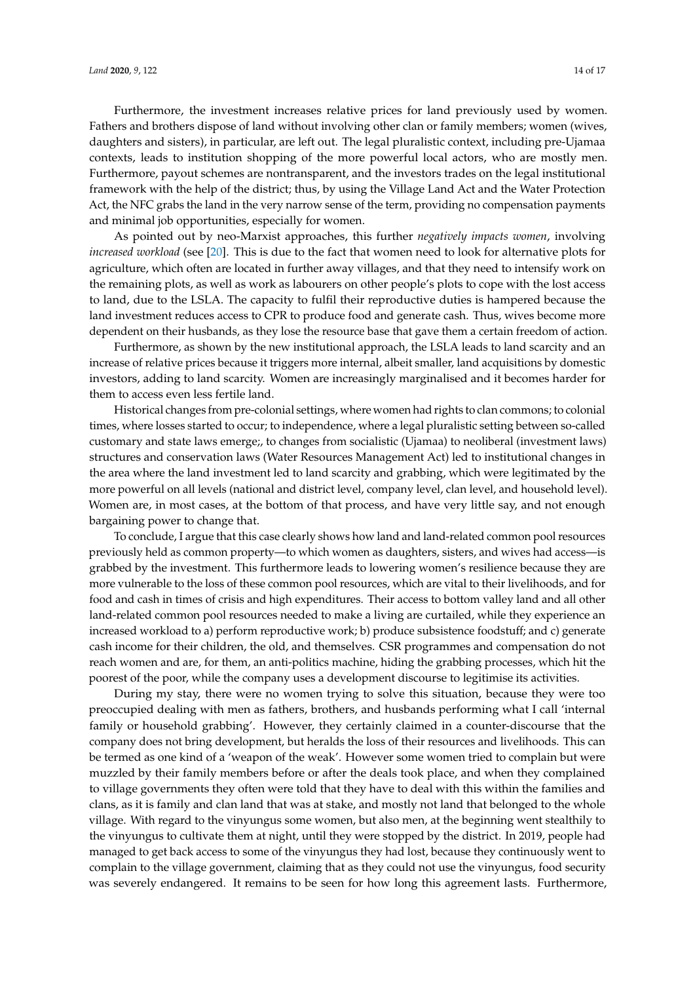Furthermore, the investment increases relative prices for land previously used by women. Fathers and brothers dispose of land without involving other clan or family members; women (wives, daughters and sisters), in particular, are left out. The legal pluralistic context, including pre-Ujamaa contexts, leads to institution shopping of the more powerful local actors, who are mostly men. Furthermore, payout schemes are nontransparent, and the investors trades on the legal institutional framework with the help of the district; thus, by using the Village Land Act and the Water Protection Act, the NFC grabs the land in the very narrow sense of the term, providing no compensation payments and minimal job opportunities, especially for women.

As pointed out by neo-Marxist approaches, this further *negatively impacts women*, involving *increased workload* (see [\[20\]](#page-15-4). This is due to the fact that women need to look for alternative plots for agriculture, which often are located in further away villages, and that they need to intensify work on the remaining plots, as well as work as labourers on other people's plots to cope with the lost access to land, due to the LSLA. The capacity to fulfil their reproductive duties is hampered because the land investment reduces access to CPR to produce food and generate cash. Thus, wives become more dependent on their husbands, as they lose the resource base that gave them a certain freedom of action.

Furthermore, as shown by the new institutional approach, the LSLA leads to land scarcity and an increase of relative prices because it triggers more internal, albeit smaller, land acquisitions by domestic investors, adding to land scarcity. Women are increasingly marginalised and it becomes harder for them to access even less fertile land.

Historical changes from pre-colonial settings, where women had rights to clan commons; to colonial times, where losses started to occur; to independence, where a legal pluralistic setting between so-called customary and state laws emerge;, to changes from socialistic (Ujamaa) to neoliberal (investment laws) structures and conservation laws (Water Resources Management Act) led to institutional changes in the area where the land investment led to land scarcity and grabbing, which were legitimated by the more powerful on all levels (national and district level, company level, clan level, and household level). Women are, in most cases, at the bottom of that process, and have very little say, and not enough bargaining power to change that.

To conclude, I argue that this case clearly shows how land and land-related common pool resources previously held as common property—to which women as daughters, sisters, and wives had access—is grabbed by the investment. This furthermore leads to lowering women's resilience because they are more vulnerable to the loss of these common pool resources, which are vital to their livelihoods, and for food and cash in times of crisis and high expenditures. Their access to bottom valley land and all other land-related common pool resources needed to make a living are curtailed, while they experience an increased workload to a) perform reproductive work; b) produce subsistence foodstuff; and c) generate cash income for their children, the old, and themselves. CSR programmes and compensation do not reach women and are, for them, an anti-politics machine, hiding the grabbing processes, which hit the poorest of the poor, while the company uses a development discourse to legitimise its activities.

During my stay, there were no women trying to solve this situation, because they were too preoccupied dealing with men as fathers, brothers, and husbands performing what I call 'internal family or household grabbing'. However, they certainly claimed in a counter-discourse that the company does not bring development, but heralds the loss of their resources and livelihoods. This can be termed as one kind of a 'weapon of the weak'. However some women tried to complain but were muzzled by their family members before or after the deals took place, and when they complained to village governments they often were told that they have to deal with this within the families and clans, as it is family and clan land that was at stake, and mostly not land that belonged to the whole village. With regard to the vinyungus some women, but also men, at the beginning went stealthily to the vinyungus to cultivate them at night, until they were stopped by the district. In 2019, people had managed to get back access to some of the vinyungus they had lost, because they continuously went to complain to the village government, claiming that as they could not use the vinyungus, food security was severely endangered. It remains to be seen for how long this agreement lasts. Furthermore,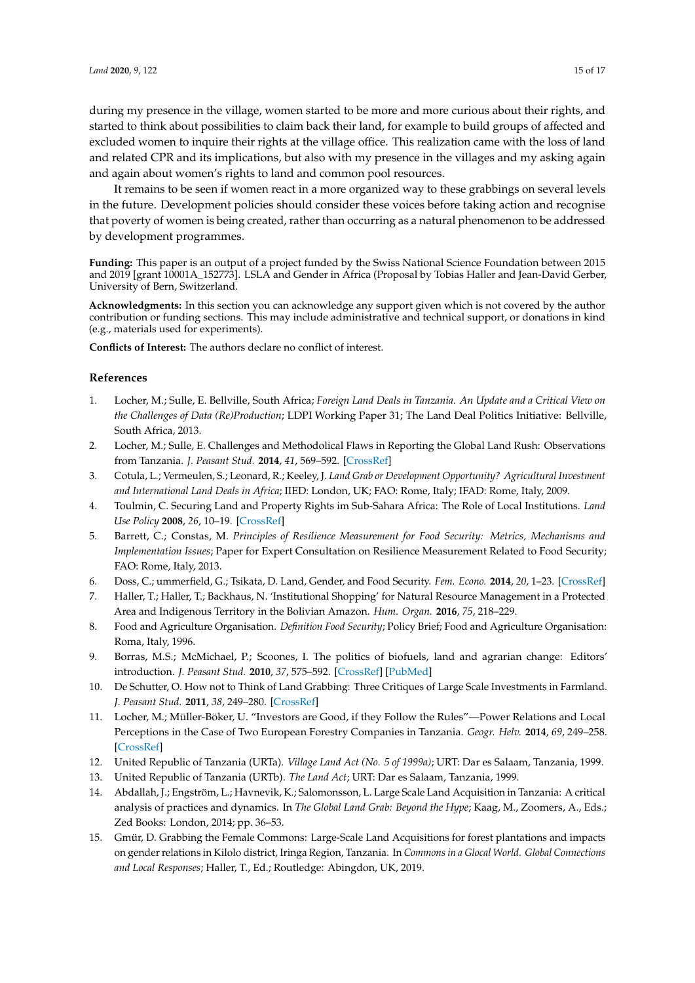during my presence in the village, women started to be more and more curious about their rights, and started to think about possibilities to claim back their land, for example to build groups of affected and excluded women to inquire their rights at the village office. This realization came with the loss of land and related CPR and its implications, but also with my presence in the villages and my asking again and again about women's rights to land and common pool resources.

It remains to be seen if women react in a more organized way to these grabbings on several levels in the future. Development policies should consider these voices before taking action and recognise that poverty of women is being created, rather than occurring as a natural phenomenon to be addressed by development programmes.

**Funding:** This paper is an output of a project funded by the Swiss National Science Foundation between 2015 and 2019 [grant 10001A\_152773]. LSLA and Gender in Africa (Proposal by Tobias Haller and Jean-David Gerber, University of Bern, Switzerland.

**Acknowledgments:** In this section you can acknowledge any support given which is not covered by the author contribution or funding sections. This may include administrative and technical support, or donations in kind (e.g., materials used for experiments).

**Conflicts of Interest:** The authors declare no conflict of interest.

#### **References**

- <span id="page-14-0"></span>1. Locher, M.; Sulle, E. Bellville, South Africa; *Foreign Land Deals in Tanzania. An Update and a Critical View on the Challenges of Data (Re)Production*; LDPI Working Paper 31; The Land Deal Politics Initiative: Bellville, South Africa, 2013.
- <span id="page-14-1"></span>2. Locher, M.; Sulle, E. Challenges and Methodolical Flaws in Reporting the Global Land Rush: Observations from Tanzania. *J. Peasant Stud.* **2014**, *41*, 569–592. [\[CrossRef\]](http://dx.doi.org/10.1080/03066150.2014.919263)
- <span id="page-14-2"></span>3. Cotula, L.; Vermeulen, S.; Leonard, R.; Keeley, J. *Land Grab or Development Opportunity? Agricultural Investment and International Land Deals in Africa*; IIED: London, UK; FAO: Rome, Italy; IFAD: Rome, Italy, 2009.
- <span id="page-14-3"></span>4. Toulmin, C. Securing Land and Property Rights im Sub-Sahara Africa: The Role of Local Institutions. *Land Use Policy* **2008**, *26*, 10–19. [\[CrossRef\]](http://dx.doi.org/10.1016/j.landusepol.2008.07.006)
- <span id="page-14-4"></span>5. Barrett, C.; Constas, M. *Principles of Resilience Measurement for Food Security: Metrics, Mechanisms and Implementation Issues*; Paper for Expert Consultation on Resilience Measurement Related to Food Security; FAO: Rome, Italy, 2013.
- <span id="page-14-5"></span>6. Doss, C.; ummerfield, G.; Tsikata, D. Land, Gender, and Food Security. *Fem. Econo.* **2014**, *20*, 1–23. [\[CrossRef\]](http://dx.doi.org/10.1080/13545701.2014.895021)
- <span id="page-14-6"></span>7. Haller, T.; Haller, T.; Backhaus, N. 'Institutional Shopping' for Natural Resource Management in a Protected Area and Indigenous Territory in the Bolivian Amazon. *Hum. Organ.* **2016**, *75*, 218–229.
- <span id="page-14-7"></span>8. Food and Agriculture Organisation. *Definition Food Security*; Policy Brief; Food and Agriculture Organisation: Roma, Italy, 1996.
- <span id="page-14-8"></span>9. Borras, M.S.; McMichael, P.; Scoones, I. The politics of biofuels, land and agrarian change: Editors' introduction. *J. Peasant Stud.* **2010**, *37*, 575–592. [\[CrossRef\]](http://dx.doi.org/10.1080/03066150.2010.512448) [\[PubMed\]](http://www.ncbi.nlm.nih.gov/pubmed/20873025)
- <span id="page-14-9"></span>10. De Schutter, O. How not to Think of Land Grabbing: Three Critiques of Large Scale Investments in Farmland. *J. Peasant Stud.* **2011**, *38*, 249–280. [\[CrossRef\]](http://dx.doi.org/10.1080/03066150.2011.559008)
- <span id="page-14-10"></span>11. Locher, M.; Müller-Böker, U. "Investors are Good, if they Follow the Rules"—Power Relations and Local Perceptions in the Case of Two European Forestry Companies in Tanzania. *Geogr. Helv.* **2014**, *69*, 249–258. [\[CrossRef\]](http://dx.doi.org/10.5194/gh-69-249-2014)
- <span id="page-14-11"></span>12. United Republic of Tanzania (URTa). *Village Land Act (No. 5 of 1999a)*; URT: Dar es Salaam, Tanzania, 1999.
- <span id="page-14-12"></span>13. United Republic of Tanzania (URTb). *The Land Act*; URT: Dar es Salaam, Tanzania, 1999.
- <span id="page-14-13"></span>14. Abdallah, J.; Engström, L.; Havnevik, K.; Salomonsson, L. Large Scale Land Acquisition in Tanzania: A critical analysis of practices and dynamics. In *The Global Land Grab: Beyond the Hype*; Kaag, M., Zoomers, A., Eds.; Zed Books: London, 2014; pp. 36–53.
- <span id="page-14-14"></span>15. Gmür, D. Grabbing the Female Commons: Large-Scale Land Acquisitions for forest plantations and impacts on gender relations in Kilolo district, Iringa Region, Tanzania. In *Commons in a Glocal World. Global Connections and Local Responses*; Haller, T., Ed.; Routledge: Abingdon, UK, 2019.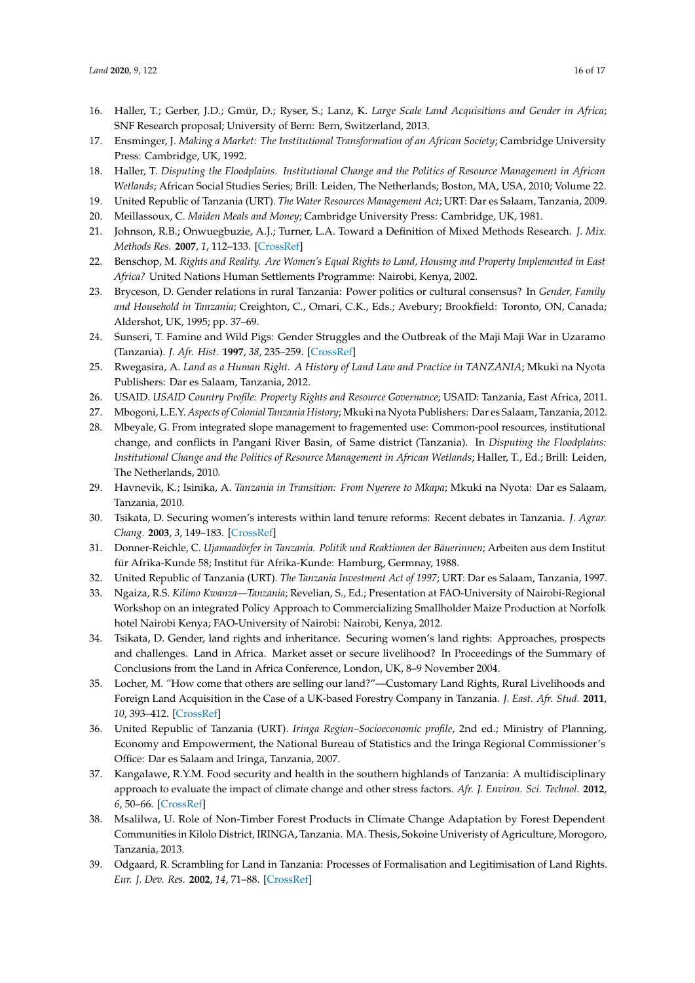- <span id="page-15-0"></span>16. Haller, T.; Gerber, J.D.; Gmür, D.; Ryser, S.; Lanz, K. *Large Scale Land Acquisitions and Gender in Africa*; SNF Research proposal; University of Bern: Bern, Switzerland, 2013.
- <span id="page-15-1"></span>17. Ensminger, J. *Making a Market: The Institutional Transformation of an African Society*; Cambridge University Press: Cambridge, UK, 1992.
- <span id="page-15-2"></span>18. Haller, T. *Disputing the Floodplains. Institutional Change and the Politics of Resource Management in African Wetlands*; African Social Studies Series; Brill: Leiden, The Netherlands; Boston, MA, USA, 2010; Volume 22.
- <span id="page-15-3"></span>19. United Republic of Tanzania (URT). *The Water Resources Management Act*; URT: Dar es Salaam, Tanzania, 2009.
- <span id="page-15-4"></span>20. Meillassoux, C. *Maiden Meals and Money*; Cambridge University Press: Cambridge, UK, 1981.
- <span id="page-15-5"></span>21. Johnson, R.B.; Onwuegbuzie, A.J.; Turner, L.A. Toward a Definition of Mixed Methods Research. *J. Mix. Methods Res.* **2007**, *1*, 112–133. [\[CrossRef\]](http://dx.doi.org/10.1177/1558689806298224)
- <span id="page-15-6"></span>22. Benschop, M. *Rights and Reality. Are Women's Equal Rights to Land, Housing and Property Implemented in East Africa?* United Nations Human Settlements Programme: Nairobi, Kenya, 2002.
- <span id="page-15-10"></span>23. Bryceson, D. Gender relations in rural Tanzania: Power politics or cultural consensus? In *Gender, Family and Household in Tanzania*; Creighton, C., Omari, C.K., Eds.; Avebury; Brookfield: Toronto, ON, Canada; Aldershot, UK, 1995; pp. 37–69.
- <span id="page-15-7"></span>24. Sunseri, T. Famine and Wild Pigs: Gender Struggles and the Outbreak of the Maji Maji War in Uzaramo (Tanzania). *J. Afr. Hist.* **1997**, *38*, 235–259. [\[CrossRef\]](http://dx.doi.org/10.1017/S0021853796006937)
- <span id="page-15-8"></span>25. Rwegasira, A. *Land as a Human Right. A History of Land Law and Practice in TANZANIA*; Mkuki na Nyota Publishers: Dar es Salaam, Tanzania, 2012.
- <span id="page-15-11"></span>26. USAID. *USAID Country Profile: Property Rights and Resource Governance*; USAID: Tanzania, East Africa, 2011.
- <span id="page-15-9"></span>27. Mbogoni, L.E.Y. *Aspects of Colonial Tanzania History*; Mkuki na Nyota Publishers: Dar es Salaam, Tanzania, 2012.
- <span id="page-15-12"></span>28. Mbeyale, G. From integrated slope management to fragemented use: Common-pool resources, institutional change, and conflicts in Pangani River Basin, of Same district (Tanzania). In *Disputing the Floodplains: Institutional Change and the Politics of Resource Management in African Wetlands*; Haller, T., Ed.; Brill: Leiden, The Netherlands, 2010.
- <span id="page-15-13"></span>29. Havnevik, K.; Isinika, A. *Tanzania in Transition: From Nyerere to Mkapa*; Mkuki na Nyota: Dar es Salaam, Tanzania, 2010.
- <span id="page-15-14"></span>30. Tsikata, D. Securing women's interests within land tenure reforms: Recent debates in Tanzania. *J. Agrar. Chang.* **2003**, *3*, 149–183. [\[CrossRef\]](http://dx.doi.org/10.1111/1471-0366.00053)
- <span id="page-15-15"></span>31. Donner-Reichle, C. *Ujamaadörfer in Tanzania. Politik und Reaktionen der Bäuerinnen*; Arbeiten aus dem Institut für Afrika-Kunde 58; Institut für Afrika-Kunde: Hamburg, Germnay, 1988.
- <span id="page-15-16"></span>32. United Republic of Tanzania (URT). *The Tanzania Investment Act of 1997*; URT: Dar es Salaam, Tanzania, 1997.
- <span id="page-15-17"></span>33. Ngaiza, R.S. *Kilimo Kwanza—Tanzania*; Revelian, S., Ed.; Presentation at FAO-University of Nairobi-Regional Workshop on an integrated Policy Approach to Commercializing Smallholder Maize Production at Norfolk hotel Nairobi Kenya; FAO-University of Nairobi: Nairobi, Kenya, 2012.
- <span id="page-15-18"></span>34. Tsikata, D. Gender, land rights and inheritance. Securing women's land rights: Approaches, prospects and challenges. Land in Africa. Market asset or secure livelihood? In Proceedings of the Summary of Conclusions from the Land in Africa Conference, London, UK, 8–9 November 2004.
- <span id="page-15-19"></span>35. Locher, M. *"*How come that others are selling our land?"—Customary Land Rights, Rural Livelihoods and Foreign Land Acquisition in the Case of a UK-based Forestry Company in Tanzania. *J. East. Afr. Stud.* **2011**, *10*, 393–412. [\[CrossRef\]](http://dx.doi.org/10.1080/17531055.2016.1250890)
- <span id="page-15-20"></span>36. United Republic of Tanzania (URT). *Iringa Region–Socioeconomic profile*, 2nd ed.; Ministry of Planning, Economy and Empowerment, the National Bureau of Statistics and the Iringa Regional Commissioner's Office: Dar es Salaam and Iringa, Tanzania, 2007.
- <span id="page-15-21"></span>37. Kangalawe, R.Y.M. Food security and health in the southern highlands of Tanzania: A multidisciplinary approach to evaluate the impact of climate change and other stress factors. *Afr. J. Environ. Sci. Technol.* **2012**, *6*, 50–66. [\[CrossRef\]](http://dx.doi.org/10.5897/AJEST11.003)
- <span id="page-15-22"></span>38. Msalilwa, U. Role of Non-Timber Forest Products in Climate Change Adaptation by Forest Dependent Communities in Kilolo District, IRINGA, Tanzania. MA. Thesis, Sokoine Univeristy of Agriculture, Morogoro, Tanzania, 2013.
- <span id="page-15-23"></span>39. Odgaard, R. Scrambling for Land in Tanzania: Processes of Formalisation and Legitimisation of Land Rights. *Eur. J. Dev. Res.* **2002**, *14*, 71–88. [\[CrossRef\]](http://dx.doi.org/10.1080/714000434)